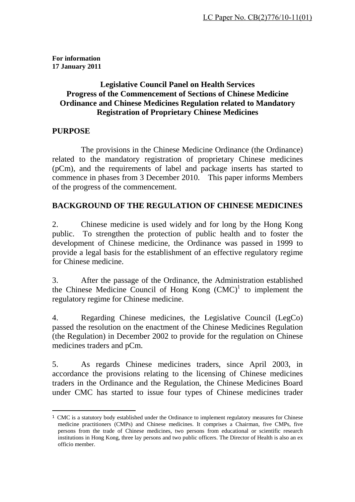**For information 17 January 2011** 

### **Legislative Council Panel on Health Services Progress of the Commencement of Sections of Chinese Medicine Ordinance and Chinese Medicines Regulation related to Mandatory Registration of Proprietary Chinese Medicines**

#### **PURPOSE**

 The provisions in the Chinese Medicine Ordinance (the Ordinance) related to the mandatory registration of proprietary Chinese medicines (pCm), and the requirements of label and package inserts has started to commence in phases from 3 December 2010. This paper informs Members of the progress of the commencement.

#### **BACKGROUND OF THE REGULATION OF CHINESE MEDICINES**

2. Chinese medicine is used widely and for long by the Hong Kong public. To strengthen the protection of public health and to foster the development of Chinese medicine, the Ordinance was passed in 1999 to provide a legal basis for the establishment of an effective regulatory regime for Chinese medicine.

3. After the passage of the Ordinance, the Administration established the Chinese Medicine Council of Hong Kong  $(CMC)^1$  to implement the regulatory regime for Chinese medicine.

4. Regarding Chinese medicines, the Legislative Council (LegCo) passed the resolution on the enactment of the Chinese Medicines Regulation (the Regulation) in December 2002 to provide for the regulation on Chinese medicines traders and pCm.

5. As regards Chinese medicines traders, since April 2003, in accordance the provisions relating to the licensing of Chinese medicines traders in the Ordinance and the Regulation, the Chinese Medicines Board under CMC has started to issue four types of Chinese medicines trader

<sup>1</sup> CMC is a statutory body established under the Ordinance to implement regulatory measures for Chinese medicine practitioners (CMPs) and Chinese medicines. It comprises a Chairman, five CMPs, five persons from the trade of Chinese medicines, two persons from educational or scientific research institutions in Hong Kong, three lay persons and two public officers. The Director of Health is also an ex officio member.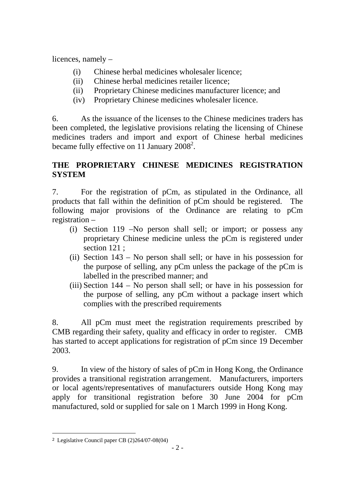licences, namely –

- (i) Chinese herbal medicines wholesaler licence;
- (ii) Chinese herbal medicines retailer licence;
- (ii) Proprietary Chinese medicines manufacturer licence; and
- (iv) Proprietary Chinese medicines wholesaler licence.

6. As the issuance of the licenses to the Chinese medicines traders has been completed, the legislative provisions relating the licensing of Chinese medicines traders and import and export of Chinese herbal medicines became fully effective on 11 January 2008<sup>2</sup>.

# **THE PROPRIETARY CHINESE MEDICINES REGISTRATION SYSTEM**

7. For the registration of pCm, as stipulated in the Ordinance, all products that fall within the definition of pCm should be registered. The following major provisions of the Ordinance are relating to pCm registration –

- (i) Section 119 –No person shall sell; or import; or possess any proprietary Chinese medicine unless the pCm is registered under section 121 ;
- (ii) Section 143 No person shall sell; or have in his possession for the purpose of selling, any pCm unless the package of the pCm is labelled in the prescribed manner; and
- (iii) Section 144 No person shall sell; or have in his possession for the purpose of selling, any pCm without a package insert which complies with the prescribed requirements

8. All pCm must meet the registration requirements prescribed by CMB regarding their safety, quality and efficacy in order to register. CMB has started to accept applications for registration of pCm since 19 December 2003.

9. In view of the history of sales of pCm in Hong Kong, the Ordinance provides a transitional registration arrangement. Manufacturers, importers or local agents/representatives of manufacturers outside Hong Kong may apply for transitional registration before 30 June 2004 for pCm manufactured, sold or supplied for sale on 1 March 1999 in Hong Kong.

 <sup>2</sup> Legislative Council paper CB (2)264/07-08(04)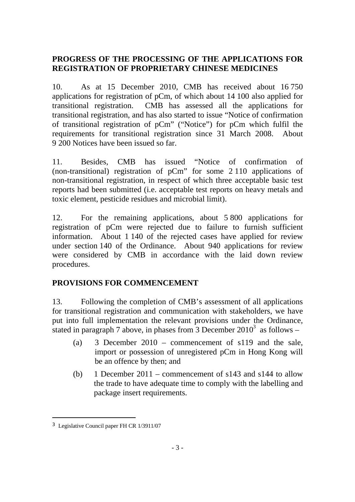# **PROGRESS OF THE PROCESSING OF THE APPLICATIONS FOR REGISTRATION OF PROPRIETARY CHINESE MEDICINES**

10. As at 15 December 2010, CMB has received about 16 750 applications for registration of pCm, of which about 14 100 also applied for transitional registration. CMB has assessed all the applications for transitional registration, and has also started to issue "Notice of confirmation of transitional registration of pCm" ("Notice") for pCm which fulfil the requirements for transitional registration since 31 March 2008. About 9 200 Notices have been issued so far.

11. Besides, CMB has issued "Notice of confirmation of (non-transitional) registration of pCm" for some 2 110 applications of non-transitional registration, in respect of which three acceptable basic test reports had been submitted (i.e. acceptable test reports on heavy metals and toxic element, pesticide residues and microbial limit).

12. For the remaining applications, about 5 800 applications for registration of pCm were rejected due to failure to furnish sufficient information. About 1 140 of the rejected cases have applied for review under section 140 of the Ordinance. About 940 applications for review were considered by CMB in accordance with the laid down review procedures.

# **PROVISIONS FOR COMMENCEMENT**

13. Following the completion of CMB's assessment of all applications for transitional registration and communication with stakeholders, we have put into full implementation the relevant provisions under the Ordinance, stated in paragraph 7 above, in phases from  $\overline{3}$  December 2010<sup>3</sup> as follows –

- (a) 3 December 2010 commencement of s119 and the sale, import or possession of unregistered pCm in Hong Kong will be an offence by then; and
- (b) 1 December 2011 commencement of s143 and s144 to allow the trade to have adequate time to comply with the labelling and package insert requirements.

l

<sup>3</sup> Legislative Council paper FH CR 1/3911/07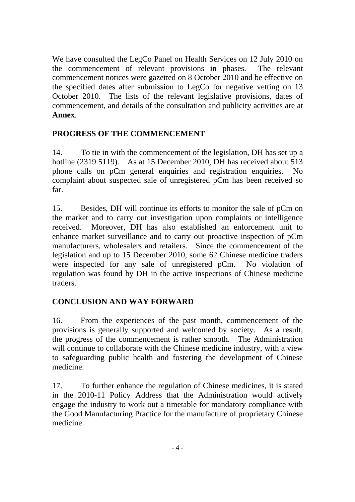We have consulted the LegCo Panel on Health Services on 12 July 2010 on the commencement of relevant provisions in phases. The relevant commencement notices were gazetted on 8 October 2010 and be effective on the specified dates after submission to LegCo for negative vetting on 13 October 2010. The lists of the relevant legislative provisions, dates of commencement, and details of the consultation and publicity activities are at **Annex**.

### **PROGRESS OF THE COMMENCEMENT**

14. To tie in with the commencement of the legislation, DH has set up a hotline (2319 5119). As at 15 December 2010, DH has received about 513 phone calls on pCm general enquiries and registration enquiries. No complaint about suspected sale of unregistered pCm has been received so far.

15. Besides, DH will continue its efforts to monitor the sale of pCm on the market and to carry out investigation upon complaints or intelligence received. Moreover, DH has also established an enforcement unit to enhance market surveillance and to carry out proactive inspection of pCm manufacturers, wholesalers and retailers. Since the commencement of the legislation and up to 15 December 2010, some 62 Chinese medicine traders were inspected for any sale of unregistered pCm. No violation of regulation was found by DH in the active inspections of Chinese medicine traders.

# **CONCLUSION AND WAY FORWARD**

16. From the experiences of the past month, commencement of the provisions is generally supported and welcomed by society. As a result, the progress of the commencement is rather smooth. The Administration will continue to collaborate with the Chinese medicine industry, with a view to safeguarding public health and fostering the development of Chinese medicine.

17. To further enhance the regulation of Chinese medicines, it is stated in the 2010-11 Policy Address that the Administration would actively engage the industry to work out a timetable for mandatory compliance with the Good Manufacturing Practice for the manufacture of proprietary Chinese medicine.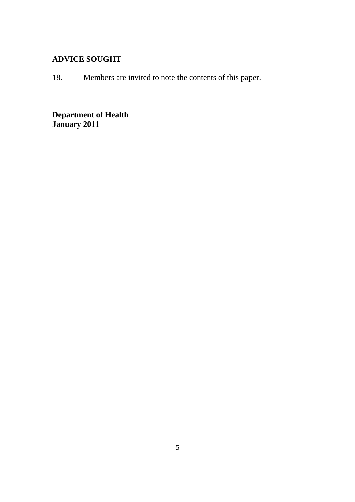# **ADVICE SOUGHT**

18. Members are invited to note the contents of this paper.

**Department of Health January 2011**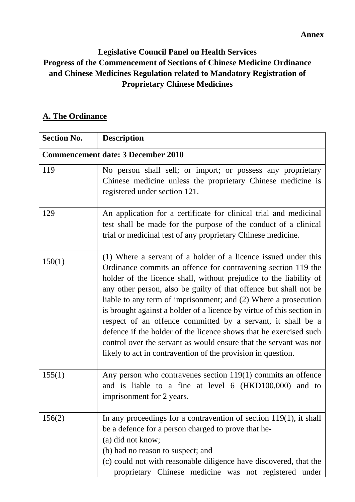**Annex** 

# **Legislative Council Panel on Health Services Progress of the Commencement of Sections of Chinese Medicine Ordinance and Chinese Medicines Regulation related to Mandatory Registration of Proprietary Chinese Medicines**

# A. The Ordinance

| <b>Section No.</b>                        | <b>Description</b>                                                                                                                                                                                                                                                                                                                                                                                                                                                                                                                                                                                                                                                                              |
|-------------------------------------------|-------------------------------------------------------------------------------------------------------------------------------------------------------------------------------------------------------------------------------------------------------------------------------------------------------------------------------------------------------------------------------------------------------------------------------------------------------------------------------------------------------------------------------------------------------------------------------------------------------------------------------------------------------------------------------------------------|
| <b>Commencement date: 3 December 2010</b> |                                                                                                                                                                                                                                                                                                                                                                                                                                                                                                                                                                                                                                                                                                 |
| 119                                       | No person shall sell; or import; or possess any proprietary<br>Chinese medicine unless the proprietary Chinese medicine is<br>registered under section 121.                                                                                                                                                                                                                                                                                                                                                                                                                                                                                                                                     |
| 129                                       | An application for a certificate for clinical trial and medicinal<br>test shall be made for the purpose of the conduct of a clinical<br>trial or medicinal test of any proprietary Chinese medicine.                                                                                                                                                                                                                                                                                                                                                                                                                                                                                            |
| 150(1)                                    | (1) Where a servant of a holder of a licence issued under this<br>Ordinance commits an offence for contravening section 119 the<br>holder of the licence shall, without prejudice to the liability of<br>any other person, also be guilty of that offence but shall not be<br>liable to any term of imprisonment; and (2) Where a prosecution<br>is brought against a holder of a licence by virtue of this section in<br>respect of an offence committed by a servant, it shall be a<br>defence if the holder of the licence shows that he exercised such<br>control over the servant as would ensure that the servant was not<br>likely to act in contravention of the provision in question. |
| 155(1)                                    | Any person who contravenes section $119(1)$ commits an offence<br>and is liable to a fine at level 6 (HKD100,000) and to<br>imprisonment for 2 years.                                                                                                                                                                                                                                                                                                                                                                                                                                                                                                                                           |
| 156(2)                                    | In any proceedings for a contravention of section $119(1)$ , it shall<br>be a defence for a person charged to prove that he-<br>(a) did not know;<br>(b) had no reason to suspect; and<br>(c) could not with reasonable diligence have discovered, that the<br>proprietary Chinese medicine was not registered under                                                                                                                                                                                                                                                                                                                                                                            |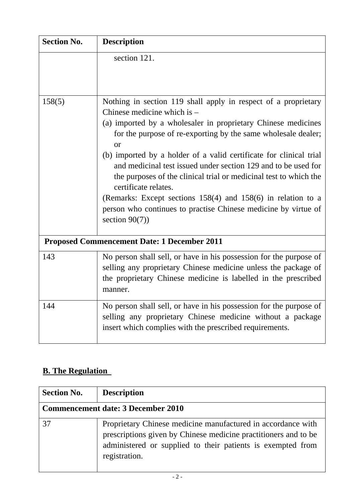| <b>Section No.</b>                                 | <b>Description</b>                                                                                                                                                                                                                                                                                                                                                                                                                                                                                                                                                                                                                    |  |
|----------------------------------------------------|---------------------------------------------------------------------------------------------------------------------------------------------------------------------------------------------------------------------------------------------------------------------------------------------------------------------------------------------------------------------------------------------------------------------------------------------------------------------------------------------------------------------------------------------------------------------------------------------------------------------------------------|--|
|                                                    | section 121.                                                                                                                                                                                                                                                                                                                                                                                                                                                                                                                                                                                                                          |  |
| 158(5)                                             | Nothing in section 119 shall apply in respect of a proprietary<br>Chinese medicine which is -<br>(a) imported by a wholesaler in proprietary Chinese medicines<br>for the purpose of re-exporting by the same wholesale dealer;<br>or<br>(b) imported by a holder of a valid certificate for clinical trial<br>and medicinal test issued under section 129 and to be used for<br>the purposes of the clinical trial or medicinal test to which the<br>certificate relates.<br>(Remarks: Except sections $158(4)$ and $158(6)$ in relation to a<br>person who continues to practise Chinese medicine by virtue of<br>section $90(7)$ ) |  |
| <b>Proposed Commencement Date: 1 December 2011</b> |                                                                                                                                                                                                                                                                                                                                                                                                                                                                                                                                                                                                                                       |  |
| 143                                                | No person shall sell, or have in his possession for the purpose of<br>selling any proprietary Chinese medicine unless the package of<br>the proprietary Chinese medicine is labelled in the prescribed<br>manner.                                                                                                                                                                                                                                                                                                                                                                                                                     |  |
| 144                                                | No person shall sell, or have in his possession for the purpose of<br>selling any proprietary Chinese medicine without a package<br>insert which complies with the prescribed requirements.                                                                                                                                                                                                                                                                                                                                                                                                                                           |  |

# **B. The Regulation**

| <b>Section No.</b>                        | <b>Description</b>                                                                                                                                                                                              |
|-------------------------------------------|-----------------------------------------------------------------------------------------------------------------------------------------------------------------------------------------------------------------|
| <b>Commencement date: 3 December 2010</b> |                                                                                                                                                                                                                 |
| 37                                        | Proprietary Chinese medicine manufactured in accordance with<br>prescriptions given by Chinese medicine practitioners and to be<br>administered or supplied to their patients is exempted from<br>registration. |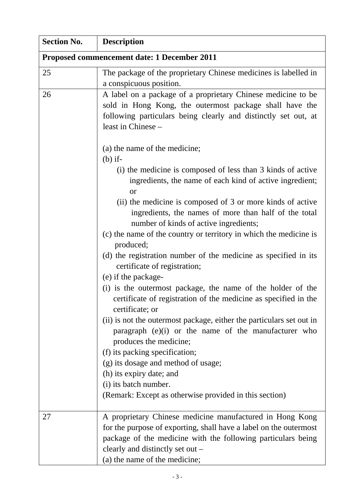| <b>Section No.</b>                          | <b>Description</b>                                                                                                                                                                                                                                                 |  |
|---------------------------------------------|--------------------------------------------------------------------------------------------------------------------------------------------------------------------------------------------------------------------------------------------------------------------|--|
| Proposed commencement date: 1 December 2011 |                                                                                                                                                                                                                                                                    |  |
| 25                                          | The package of the proprietary Chinese medicines is labelled in<br>a conspicuous position.                                                                                                                                                                         |  |
| 26                                          | A label on a package of a proprietary Chinese medicine to be<br>sold in Hong Kong, the outermost package shall have the<br>following particulars being clearly and distinctly set out, at<br>least in Chinese -                                                    |  |
|                                             | (a) the name of the medicine;<br>$(b)$ if-                                                                                                                                                                                                                         |  |
|                                             | (i) the medicine is composed of less than 3 kinds of active<br>ingredients, the name of each kind of active ingredient;<br><b>or</b>                                                                                                                               |  |
|                                             | (ii) the medicine is composed of 3 or more kinds of active<br>ingredients, the names of more than half of the total<br>number of kinds of active ingredients;                                                                                                      |  |
|                                             | (c) the name of the country or territory in which the medicine is<br>produced;                                                                                                                                                                                     |  |
|                                             | (d) the registration number of the medicine as specified in its<br>certificate of registration;                                                                                                                                                                    |  |
|                                             | (e) if the package-<br>(i) is the outermost package, the name of the holder of the<br>certificate of registration of the medicine as specified in the<br>certificate; or                                                                                           |  |
|                                             | (ii) is not the outermost package, either the particulars set out in<br>paragraph $(e)(i)$ or the name of the manufacturer who<br>produces the medicine;                                                                                                           |  |
|                                             | (f) its packing specification;                                                                                                                                                                                                                                     |  |
|                                             | (g) its dosage and method of usage;<br>(h) its expiry date; and                                                                                                                                                                                                    |  |
|                                             | (i) its batch number.                                                                                                                                                                                                                                              |  |
|                                             | (Remark: Except as otherwise provided in this section)                                                                                                                                                                                                             |  |
| 27                                          | A proprietary Chinese medicine manufactured in Hong Kong<br>for the purpose of exporting, shall have a label on the outermost<br>package of the medicine with the following particulars being<br>clearly and distinctly set out –<br>(a) the name of the medicine; |  |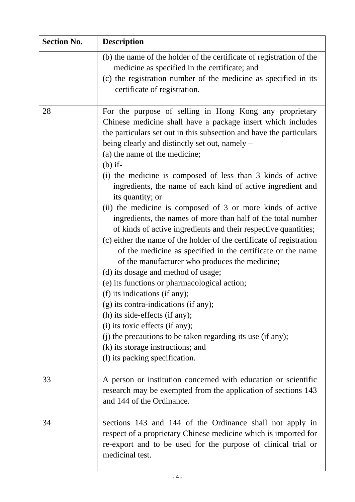| <b>Section No.</b> | <b>Description</b>                                                                                                                                                                                                                                                                                                                                                                                                                                                                                                                                                                                                                                                                                                                                                                                                                                                                                                                                                                                                                                                                                                                                                                                                   |
|--------------------|----------------------------------------------------------------------------------------------------------------------------------------------------------------------------------------------------------------------------------------------------------------------------------------------------------------------------------------------------------------------------------------------------------------------------------------------------------------------------------------------------------------------------------------------------------------------------------------------------------------------------------------------------------------------------------------------------------------------------------------------------------------------------------------------------------------------------------------------------------------------------------------------------------------------------------------------------------------------------------------------------------------------------------------------------------------------------------------------------------------------------------------------------------------------------------------------------------------------|
|                    | (b) the name of the holder of the certificate of registration of the<br>medicine as specified in the certificate; and<br>(c) the registration number of the medicine as specified in its<br>certificate of registration.                                                                                                                                                                                                                                                                                                                                                                                                                                                                                                                                                                                                                                                                                                                                                                                                                                                                                                                                                                                             |
| 28                 | For the purpose of selling in Hong Kong any proprietary<br>Chinese medicine shall have a package insert which includes<br>the particulars set out in this subsection and have the particulars<br>being clearly and distinctly set out, namely –<br>(a) the name of the medicine;<br>$(b)$ if-<br>(i) the medicine is composed of less than 3 kinds of active<br>ingredients, the name of each kind of active ingredient and<br>its quantity; or<br>(ii) the medicine is composed of 3 or more kinds of active<br>ingredients, the names of more than half of the total number<br>of kinds of active ingredients and their respective quantities;<br>(c) either the name of the holder of the certificate of registration<br>of the medicine as specified in the certificate or the name<br>of the manufacturer who produces the medicine;<br>(d) its dosage and method of usage;<br>(e) its functions or pharmacological action;<br>(f) its indications (if any);<br>(g) its contra-indications (if any);<br>(h) its side-effects (if any);<br>(i) its toxic effects (if any);<br>(j) the precautions to be taken regarding its use (if any);<br>(k) its storage instructions; and<br>(1) its packing specification. |
| 33                 | A person or institution concerned with education or scientific<br>research may be exempted from the application of sections 143<br>and 144 of the Ordinance.                                                                                                                                                                                                                                                                                                                                                                                                                                                                                                                                                                                                                                                                                                                                                                                                                                                                                                                                                                                                                                                         |
| 34                 | Sections 143 and 144 of the Ordinance shall not apply in<br>respect of a proprietary Chinese medicine which is imported for<br>re-export and to be used for the purpose of clinical trial or<br>medicinal test.                                                                                                                                                                                                                                                                                                                                                                                                                                                                                                                                                                                                                                                                                                                                                                                                                                                                                                                                                                                                      |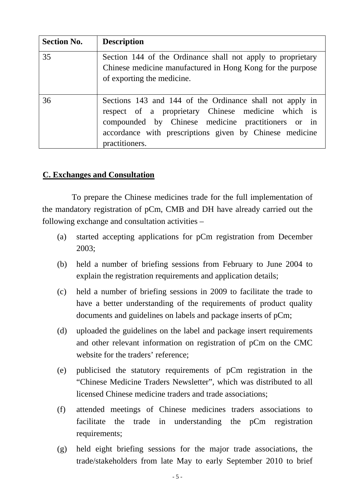| <b>Section No.</b> | <b>Description</b>                                                                                                                                                                                                                                |
|--------------------|---------------------------------------------------------------------------------------------------------------------------------------------------------------------------------------------------------------------------------------------------|
| 35                 | Section 144 of the Ordinance shall not apply to proprietary<br>Chinese medicine manufactured in Hong Kong for the purpose<br>of exporting the medicine.                                                                                           |
| 36                 | Sections 143 and 144 of the Ordinance shall not apply in<br>respect of a proprietary Chinese medicine which is<br>compounded by Chinese medicine practitioners or in<br>accordance with prescriptions given by Chinese medicine<br>practitioners. |

### <sup>U</sup>**C. Exchanges and Consultation**

 To prepare the Chinese medicines trade for the full implementation of the mandatory registration of pCm, CMB and DH have already carried out the following exchange and consultation activities –

- (a) started accepting applications for pCm registration from December 2003;
- (b) held a number of briefing sessions from February to June 2004 to explain the registration requirements and application details;
- (c) held a number of briefing sessions in 2009 to facilitate the trade to have a better understanding of the requirements of product quality documents and guidelines on labels and package inserts of pCm;
- (d) uploaded the guidelines on the label and package insert requirements and other relevant information on registration of pCm on the CMC website for the traders' reference;
- (e) publicised the statutory requirements of pCm registration in the "Chinese Medicine Traders Newsletter", which was distributed to all licensed Chinese medicine traders and trade associations;
- (f) attended meetings of Chinese medicines traders associations to facilitate the trade in understanding the pCm registration requirements;
- (g) held eight briefing sessions for the major trade associations, the trade/stakeholders from late May to early September 2010 to brief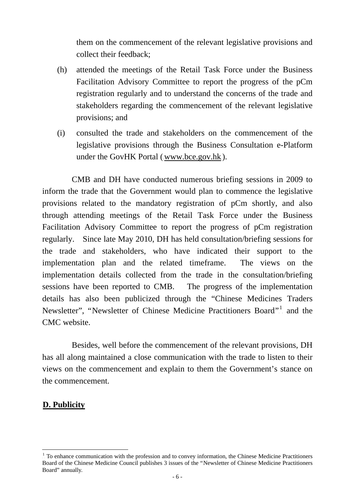them on the commencement of the relevant legislative provisions and collect their feedback;

- (h) attended the meetings of the Retail Task Force under the Business Facilitation Advisory Committee to report the progress of the pCm registration regularly and to understand the concerns of the trade and stakeholders regarding the commencement of the relevant legislative provisions; and
- (i) consulted the trade and stakeholders on the commencement of the legislative provisions through the Business Consultation e-Platform under the GovHK Portal (www.bce.gov.hk).

 CMB and DH have conducted numerous briefing sessions in 2009 to inform the trade that the Government would plan to commence the legislative provisions related to the mandatory registration of pCm shortly, and also through attending meetings of the Retail Task Force under the Business Facilitation Advisory Committee to report the progress of pCm registration regularly. Since late May 2010, DH has held consultation/briefing sessions for the trade and stakeholders, who have indicated their support to the implementation plan and the related timeframe. The views on the implementation details collected from the trade in the consultation/briefing sessions have been reported to CMB. The progress of the implementation details has also been publicized through the "Chinese Medicines Traders Newsletter", "Newsletter of Chinese Medicine Practitioners Board".<sup>1</sup> and the CMC website.

 Besides, well before the commencement of the relevant provisions, DH has all along maintained a close communication with the trade to listen to their views on the commencement and explain to them the Government's stance on the commencement.

#### <sup>U</sup>**D. Publicity**

1

 $\frac{1}{2}$  To enhance communication with the profession and to convey information, the Chinese Medicine Practitioners Board of the Chinese Medicine Council publishes 3 issues of the "Newsletter of Chinese Medicine Practitioners" Board" annually.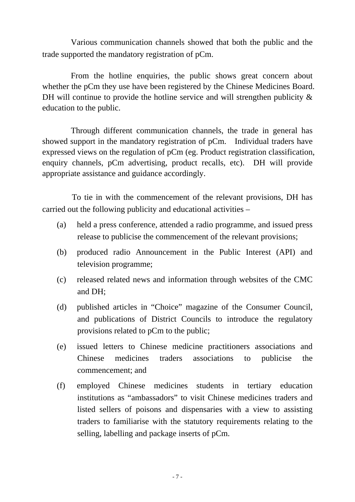Various communication channels showed that both the public and the trade supported the mandatory registration of pCm.

 From the hotline enquiries, the public shows great concern about whether the pCm they use have been registered by the Chinese Medicines Board. DH will continue to provide the hotline service and will strengthen publicity  $\&$ education to the public.

 Through different communication channels, the trade in general has showed support in the mandatory registration of pCm. Individual traders have expressed views on the regulation of pCm (eg. Product registration classification, enquiry channels, pCm advertising, product recalls, etc). DH will provide appropriate assistance and guidance accordingly.

 To tie in with the commencement of the relevant provisions, DH has carried out the following publicity and educational activities –

- (a) held a press conference, attended a radio programme, and issued press release to publicise the commencement of the relevant provisions;
- (b) produced radio Announcement in the Public Interest (API) and television programme;
- (c) released related news and information through websites of the CMC and DH;
- (d) published articles in "Choice" magazine of the Consumer Council, and publications of District Councils to introduce the regulatory provisions related to pCm to the public;
- (e) issued letters to Chinese medicine practitioners associations and Chinese medicines traders associations to publicise the commencement; and
- (f) employed Chinese medicines students in tertiary education institutions as "ambassadors" to visit Chinese medicines traders and listed sellers of poisons and dispensaries with a view to assisting traders to familiarise with the statutory requirements relating to the selling, labelling and package inserts of pCm.